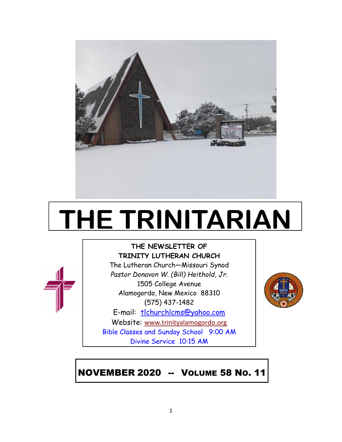

# **THE TRINITARIAN**



## **THE NEWSLETTER OF TRINITY LUTHERAN CHURCH**

The Lutheran Church—Missouri Synod *Pastor Donavon W. (Bill) Heithold, Jr.* 1505 College Avenue Alamogordo, New Mexico 88310 (575) 437-1482

E-mail: tlchurchlcms@yahoo.com

Website: [www.trinityalamogordo.org](http://www.tlcalamogordo/) Bible Classes and Sunday School 9:00 AM Divine Service 10:15 AM

# NOVEMBER 2020 -- VOLUME 58 NO. 11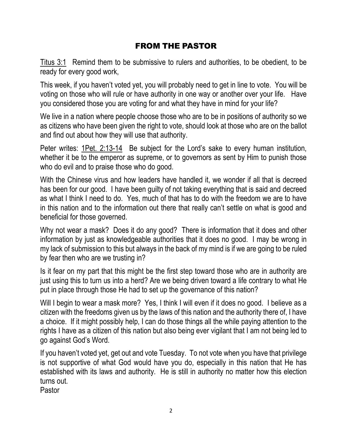## FROM THE PASTOR

Titus 3:1 Remind them to be submissive to rulers and authorities, to be obedient, to be ready for every good work,

This week, if you haven't voted yet, you will probably need to get in line to vote. You will be voting on those who will rule or have authority in one way or another over your life. Have you considered those you are voting for and what they have in mind for your life?

We live in a nation where people choose those who are to be in positions of authority so we as citizens who have been given the right to vote, should look at those who are on the ballot and find out about how they will use that authority.

Peter writes: 1Pet. 2:13-14 Be subject for the Lord's sake to every human institution, whether it be to the emperor as supreme, or to governors as sent by Him to punish those who do evil and to praise those who do good.

With the Chinese virus and how leaders have handled it, we wonder if all that is decreed has been for our good. I have been guilty of not taking everything that is said and decreed as what I think I need to do. Yes, much of that has to do with the freedom we are to have in this nation and to the information out there that really can't settle on what is good and beneficial for those governed.

Why not wear a mask? Does it do any good? There is information that it does and other information by just as knowledgeable authorities that it does no good. I may be wrong in my lack of submission to this but always in the back of my mind is if we are going to be ruled by fear then who are we trusting in?

Is it fear on my part that this might be the first step toward those who are in authority are just using this to turn us into a herd? Are we being driven toward a life contrary to what He put in place through those He had to set up the governance of this nation?

Will I begin to wear a mask more? Yes, I think I will even if it does no good. I believe as a citizen with the freedoms given us by the laws of this nation and the authority there of, I have a choice. If it might possibly help, I can do those things all the while paying attention to the rights I have as a citizen of this nation but also being ever vigilant that I am not being led to go against God's Word.

If you haven't voted yet, get out and vote Tuesday. To not vote when you have that privilege is not supportive of what God would have you do, especially in this nation that He has established with its laws and authority. He is still in authority no matter how this election turns out.

Pastor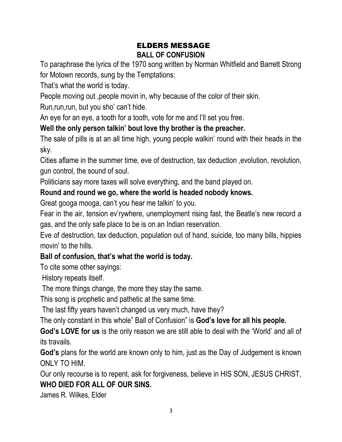## ELDERS MESSAGE **BALL OF CONFUSION**

To paraphrase the lyrics of the 1970 song written by Norman Whitfield and Barrett Strong for Motown records, sung by the Temptations:

That's what the world is today.

People moving out ,people movin in, why because of the color of their skin.

Run, run, run, but you sho' can't hide.

An eye for an eye, a tooth for a tooth, vote for me and I'll set you free.

## **Well the only person talkin' bout love thy brother is the preacher.**

The sale of pills is at an all time high, young people walkin' round with their heads in the sky.

Cities aflame in the summer time, eve of destruction, tax deduction, evolution, revolution, gun control, the sound of soul.

Politicians say more taxes will solve everything, and the band played on.

## **Round and round we go, where the world is headed nobody knows.**

Great googa mooga, can't you hear me talkin' to you.

Fear in the air, tension ev'rywhere, unemployment rising fast, the Beatle's new record a gas, and the only safe place to be is on an Indian reservation.

Eve of destruction, tax deduction, population out of hand, suicide, too many bills, hippies movin' to the hills.

## **Ball of confusion, that's what the world is today.**

To cite some other sayings:

History repeats itself.

The more things change, the more they stay the same.

This song is prophetic and pathetic at the same time.

The last fifty years haven't changed us very much, have they?

The only constant in this whole" Ball of Confusion" is **God's love for all his people.**

**God's LOVE for us** is the only reason we are still able to deal with the 'World' and all of its travails.

**God's** plans for the world are known only to him, just as the Day of Judgement is known ONLY TO HIM.

Our only recourse is to repent, ask for forgiveness, believe in HIS SON, JESUS CHRIST, **WHO DIED FOR ALL OF OUR SINS.**

James R. Wilkes, Elder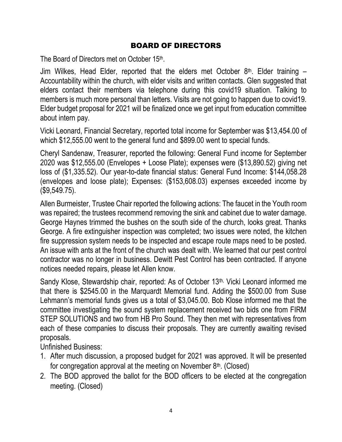## BOARD OF DIRECTORS

The Board of Directors met on October 15<sup>th</sup>.

Jim Wilkes, Head Elder, reported that the elders met October  $8<sup>th</sup>$ . Elder training  $-$ Accountability within the church, with elder visits and written contacts. Glen suggested that elders contact their members via telephone during this covid19 situation. Talking to members is much more personal than letters. Visits are not going to happen due to covid19. Elder budget proposal for 2021 will be finalized once we get input from education committee about intern pay.

Vicki Leonard, Financial Secretary, reported total income for September was \$13,454.00 of which \$12,555.00 went to the general fund and \$899.00 went to special funds.

Cheryl Sandenaw, Treasurer, reported the following: General Fund income for September 2020 was \$12,555.00 (Envelopes + Loose Plate); expenses were (\$13,890.52) giving net loss of (\$1,335.52). Our year-to-date financial status: General Fund Income: \$144,058.28 (envelopes and loose plate); Expenses: (\$153,608.03) expenses exceeded income by (\$9,549.75).

Allen Burmeister, Trustee Chair reported the following actions: The faucet in the Youth room was repaired; the trustees recommend removing the sink and cabinet due to water damage. George Haynes trimmed the bushes on the south side of the church, looks great. Thanks George. A fire extinguisher inspection was completed; two issues were noted, the kitchen fire suppression system needs to be inspected and escape route maps need to be posted. An issue with ants at the front of the church was dealt with. We learned that our pest control contractor was no longer in business. Dewitt Pest Control has been contracted. If anyone notices needed repairs, please let Allen know.

Sandy Klose, Stewardship chair, reported: As of October 13<sup>th,</sup> Vicki Leonard informed me that there is \$2545.00 in the Marquardt Memorial fund. Adding the \$500.00 from Suse Lehmann's memorial funds gives us a total of \$3,045.00. Bob Klose informed me that the committee investigating the sound system replacement received two bids one from FIRM STEP SOLUTIONS and two from HB Pro Sound. They then met with representatives from each of these companies to discuss their proposals. They are currently awaiting revised proposals.

Unfinished Business:

- 1. After much discussion, a proposed budget for 2021 was approved. It will be presented for congregation approval at the meeting on November 8<sup>th</sup>. (Closed)
- 2. The BOD approved the ballot for the BOD officers to be elected at the congregation meeting. (Closed)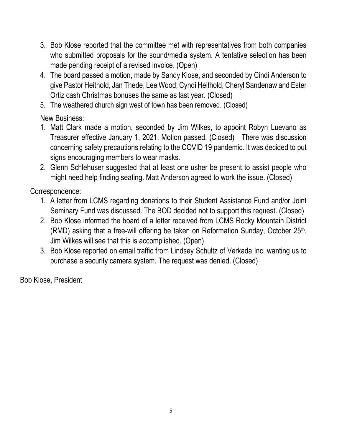- 3. Bob Klose reported that the committee met with representatives from both companies who submitted proposals for the sound/media system. A tentative selection has been made pending receipt of a revised invoice. (Open)
- 4. The board passed a motion, made by Sandy Klose, and seconded by Cindi Anderson to give Pastor Heithold, Jan Thede, Lee Wood, Cyndi Heithold, Cheryl Sandenaw and Ester Ortiz cash Christmas bonuses the same as last year. (Closed)
- 5. The weathered church sign west of town has been removed. (Closed)

New Business:

- 1. Matt Clark made a motion, seconded by Jim Wilkes, to appoint Robyn Luevano as Treasurer effective January 1, 2021. Motion passed. (Closed) There was discussion concerning safety precautions relating to the COVID 19 pandemic. It was decided to put signs encouraging members to wear masks.
- 2. Glenn Schlehuser suggested that at least one usher be present to assist people who might need help finding seating. Matt Anderson agreed to work the issue. (Closed)

Correspondence:

- 1. A letter from LCMS regarding donations to their Student Assistance Fund and/or Joint Seminary Fund was discussed. The BOD decided not to support this request. (Closed)
- 2. Bob Klose informed the board of a letter received from LCMS Rocky Mountain District (RMD) asking that a free-will offering be taken on Reformation Sunday, October 25<sup>th</sup>. Jim Wilkes will see that this is accomplished. (Open)
- 3. Bob Klose reported on email traffic from Lindsey Schultz of Verkada Inc. wanting us to purchase a security camera system. The request was denied. (Closed)

Bob Klose, President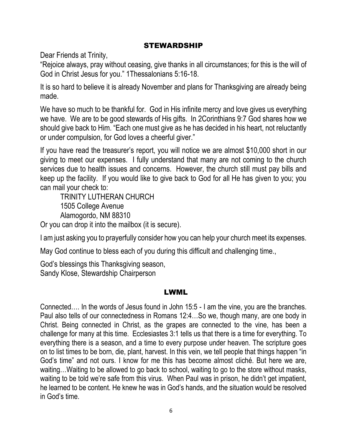## STEWARDSHIP

Dear Friends at Trinity,

"Rejoice always, pray without ceasing, give thanks in all circumstances; for this is the will of God in Christ Jesus for you." 1Thessalonians 5:16-18.

It is so hard to believe it is already November and plans for Thanksgiving are already being made.

We have so much to be thankful for. God in His infinite mercy and love gives us everything we have. We are to be good stewards of His gifts. In 2Corinthians 9:7 God shares how we should give back to Him. "Each one must give as he has decided in his heart, not reluctantly or under compulsion, for God loves a cheerful giver."

If you have read the treasurer's report, you will notice we are almost \$10,000 short in our giving to meet our expenses. I fully understand that many are not coming to the church services due to health issues and concerns. However, the church still must pay bills and keep up the facility. If you would like to give back to God for all He has given to you; you can mail your check to:

TRINITY LUTHERAN CHURCH 1505 College Avenue Alamogordo, NM 88310

Or you can drop it into the mailbox (it is secure).

I am just asking you to prayerfully consider how you can help your church meet its expenses.

May God continue to bless each of you during this difficult and challenging time.,

God's blessings this Thanksgiving season, Sandy Klose, Stewardship Chairperson

#### LWML

Connected…. In the words of Jesus found in John 15:5 - I am the vine, you are the branches. Paul also tells of our connectedness in Romans 12:4…So we, though many, are one body in Christ. Being connected in Christ, as the grapes are connected to the vine, has been a challenge for many at this time. Ecclesiastes 3:1 tells us that there is a time for everything. To everything there is a season, and a time to every purpose under heaven. The scripture goes on to list times to be born, die, plant, harvest. In this vein, we tell people that things happen "in God's time" and not ours. I know for me this has become almost cliché. But here we are, waiting…Waiting to be allowed to go back to school, waiting to go to the store without masks, waiting to be told we're safe from this virus. When Paul was in prison, he didn't get impatient, he learned to be content. He knew he was in God's hands, and the situation would be resolved in God's time.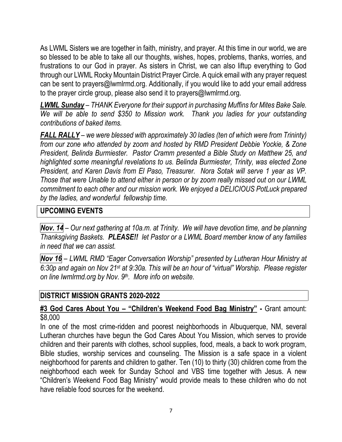As LWML Sisters we are together in faith, ministry, and prayer. At this time in our world, we are so blessed to be able to take all our thoughts, wishes, hopes, problems, thanks, worries, and frustrations to our God in prayer. As sisters in Christ, we can also liftup everything to God through our LWML Rocky Mountain District Prayer Circle. A quick email with any prayer request can be sent to prayers@lwmlrmd.org. Additionally, if you would like to add your email address to the prayer circle group, please also send it to prayers@lwmlrmd.org.

*LWML Sunday – THANK Everyone for their support in purchasing Muffins for Mites Bake Sale. We will be able to send \$350 to Mission work. Thank you ladies for your outstanding contributions of baked items.*

*FALL RALLY – we were blessed with approximately 30 ladies (ten of which were from Trininty) from our zone who attended by zoom and hosted by RMD President Debbie Yockie, & Zone President, Belinda Burmiester. Pastor Cramm presented a Bible Study on Matthew 25, and highlighted some meaningful revelations to us. Belinda Burmiester, Trinity, was elected Zone President, and Karen Davis from El Paso, Treasurer. Nora Sotak will serve 1 year as VP. Those that were Unable to attend either in person or by zoom really missed out on our LWML commitment to each other and our mission work. We enjoyed a DELICIOUS PotLuck prepared by the ladies, and wonderful fellowship time.*

## **UPCOMING EVENTS**

*Nov. 14 – Our next gathering at 10a.m. at Trinity. We will have devotion time, and be planning Thanksgiving Baskets. PLEASE!! let Pastor or a LWML Board member know of any families in need that we can assist.*

*Nov 16 – LWML RMD "Eager Conversation Worship" presented by Lutheran Hour Ministry at 6:30p and again on Nov 21st at 9:30a. This will be an hour of "virtual" Worship. Please register on line lwmlrmd.org by Nov. 9th. More info on website.*

#### **DISTRICT MISSION GRANTS 2020-2022**

#### **#3 God Cares About You – "Children's Weekend Food Bag Ministry" -** Grant amount: \$8,000

In one of the most crime-ridden and poorest neighborhoods in Albuquerque, NM, several Lutheran churches have begun the God Cares About You Mission, which serves to provide children and their parents with clothes, school supplies, food, meals, a back to work program, Bible studies, worship services and counseling. The Mission is a safe space in a violent neighborhood for parents and children to gather. Ten (10) to thirty (30) children come from the neighborhood each week for Sunday School and VBS time together with Jesus. A new "Children's Weekend Food Bag Ministry" would provide meals to these children who do not have reliable food sources for the weekend.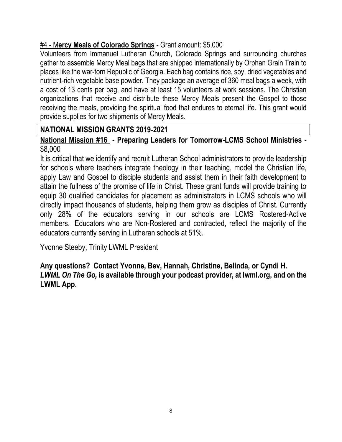## #4 - M**ercy Meals of Colorado Springs -** Grant amount: \$5,000

Volunteers from Immanuel Lutheran Church, Colorado Springs and surrounding churches gather to assemble Mercy Meal bags that are shipped internationally by Orphan Grain Train to places like the war-torn Republic of Georgia. Each bag contains rice, soy, dried vegetables and nutrient-rich vegetable base powder. They package an average of 360 meal bags a week, with a cost of 13 cents per bag, and have at least 15 volunteers at work sessions. The Christian organizations that receive and distribute these Mercy Meals present the Gospel to those receiving the meals, providing the spiritual food that endures to eternal life. This grant would provide supplies for two shipments of Mercy Meals.

## **NATIONAL MISSION GRANTS 2019-2021**

**National Mission #16 - Preparing Leaders for Tomorrow-LCMS School Ministries -** \$8,000

It is critical that we identify and recruit Lutheran School administrators to provide leadership for schools where teachers integrate theology in their teaching, model the Christian life, apply Law and Gospel to disciple students and assist them in their faith development to attain the fullness of the promise of life in Christ. These grant funds will provide training to equip 30 qualified candidates for placement as administrators in LCMS schools who will directly impact thousands of students, helping them grow as disciples of Christ. Currently only 28% of the educators serving in our schools are LCMS Rostered-Active members. Educators who are Non-Rostered and contracted, reflect the majority of the educators currently serving in Lutheran schools at 51%.

Yvonne Steeby, Trinity LWML President

**Any questions? Contact Yvonne, Bev, Hannah, Christine, Belinda, or Cyndi H.** *LWML On The Go,* **is available through your podcast provider, at lwml.org, and on the LWML App.**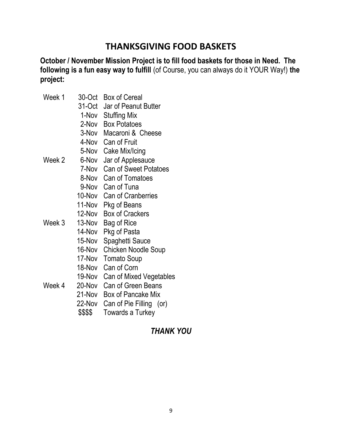# **THANKSGIVING FOOD BASKETS**

**October / November Mission Project is to fill food baskets for those in Need. The following is a fun easy way to fulfill** (of Course, you can always do it YOUR Way!) **the project:**

| 30-Oct   | <b>Box of Cereal</b>                                                                                                         |
|----------|------------------------------------------------------------------------------------------------------------------------------|
|          | Jar of Peanut Butter                                                                                                         |
|          | 1-Nov Stuffing Mix                                                                                                           |
|          | 2-Nov Box Potatoes                                                                                                           |
|          | 3-Nov Macaroni & Cheese                                                                                                      |
|          | 4-Nov Can of Fruit                                                                                                           |
|          | 5-Nov Cake Mix/Icing                                                                                                         |
| Week 2   | Jar of Applesauce                                                                                                            |
|          | <b>Can of Sweet Potatoes</b>                                                                                                 |
|          | 8-Nov Can of Tomatoes                                                                                                        |
|          | 9-Nov Can of Tuna                                                                                                            |
|          | 10-Nov Can of Cranberries                                                                                                    |
|          | 11-Nov Pkg of Beans                                                                                                          |
| 12-Nov   | <b>Box of Crackers</b>                                                                                                       |
| Week 3   | Bag of Rice                                                                                                                  |
|          | Pkg of Pasta                                                                                                                 |
|          | Spaghetti Sauce                                                                                                              |
|          | <b>Chicken Noodle Soup</b>                                                                                                   |
|          | <b>Tomato Soup</b>                                                                                                           |
|          | Can of Corn                                                                                                                  |
|          | Can of Mixed Vegetables                                                                                                      |
| Week 4   | <b>Can of Green Beans</b>                                                                                                    |
|          | Box of Pancake Mix                                                                                                           |
|          | Can of Pie Filling (or)                                                                                                      |
| \$\$\$\$ | Towards a Turkey                                                                                                             |
|          | 31-Oct<br>6-Nov<br>7-Nov<br>13-Nov<br>14-Nov<br>15-Nov<br>16-Nov<br>17-Nov<br>18-Nov<br>19-Nov<br>20-Nov<br>21-Nov<br>22-Nov |

## *THANK YOU*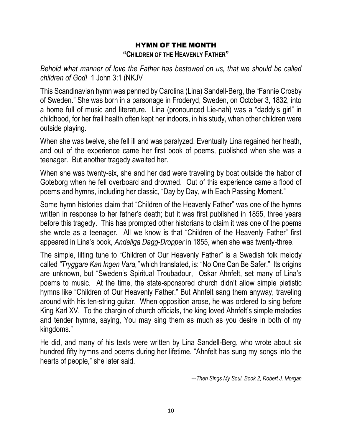# HYMN OF THE MONTH

#### **"CHILDREN OF THE HEAVENLY FATHER"**

*Behold what manner of love the Father has bestowed on us, that we should be called children of God!* 1 John 3:1 (NKJV

This Scandinavian hymn was penned by Carolina (Lina) Sandell-Berg, the "Fannie Crosby of Sweden." She was born in a parsonage in Froderyd, Sweden, on October 3, 1832, into a home full of music and literature. Lina (pronounced Lie-nah) was a "daddy's girl" in childhood, for her frail health often kept her indoors, in his study, when other children were outside playing.

When she was twelve, she fell ill and was paralyzed. Eventually Lina regained her heath, and out of the experience came her first book of poems, published when she was a teenager. But another tragedy awaited her.

When she was twenty-six, she and her dad were traveling by boat outside the habor of Goteborg when he fell overboard and drowned. Out of this experience came a flood of poems and hymns, including her classic, "Day by Day, with Each Passing Moment."

Some hymn histories claim that "Children of the Heavenly Father" was one of the hymns written in response to her father's death; but it was first published in 1855, three years before this tragedy. This has prompted other historians to claim it was one of the poems she wrote as a teenager. All we know is that "Children of the Heavenly Father" first appeared in Lina's book, *Andeliga Dagg-Dropper* in 1855, when she was twenty-three.

The simple, lilting tune to "Children of Our Heavenly Father" is a Swedish folk melody called *"Tryggare Kan Ingen Vara,"* which translated, is: "No One Can Be Safer." Its origins are unknown, but "Sweden's Spiritual Troubadour, Oskar Ahnfelt, set many of Lina's poems to music. At the time, the state-sponsored church didn't allow simple pietistic hymns like "Children of Our Heavenly Father." But Ahnfelt sang them anyway, traveling around with his ten-string guitar. When opposition arose, he was ordered to sing before King Karl XV. To the chargin of church officials, the king loved Ahnfelt's simple melodies and tender hymns, saying, You may sing them as much as you desire in both of my kingdoms."

He did, and many of his texts were written by Lina Sandell-Berg, who wrote about six hundred fifty hymns and poems during her lifetime. "Ahnfelt has sung my songs into the hearts of people," she later said.

*---Then Sings My Soul, Book 2, Robert J. Morgan*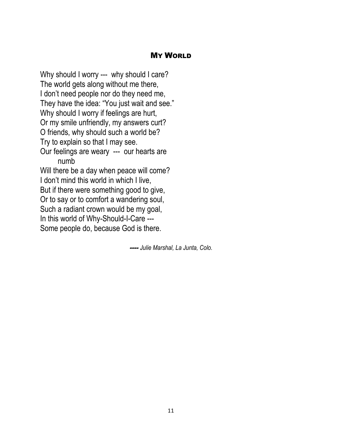## MY WORLD

Why should I worry --- why should I care? The world gets along without me there, I don't need people nor do they need me, They have the idea: "You just wait and see." Why should I worry if feelings are hurt, Or my smile unfriendly, my answers curt? O friends, why should such a world be? Try to explain so that I may see. Our feelings are weary --- our hearts are numb Will there be a day when peace will come? I don't mind this world in which I live, But if there were something good to give, Or to say or to comfort a wandering soul, Such a radiant crown would be my goal, In this world of Why-Should-I-Care --- Some people do, because God is there.

---- *Julie Marshal, La Junta, Colo.*